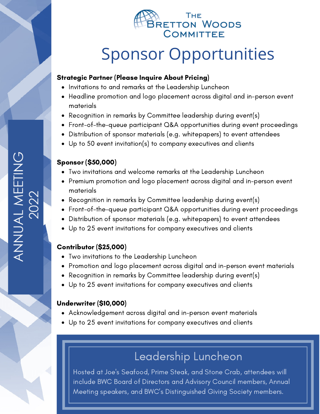

# Sponsor Opportunities

### Strategic Partner (Please Inquire About Pricing)

- Invitations to and remarks at the Leadership Luncheon
- Headline promotion and logo placement across digital and in-person event materials
- Recognition in remarks by Committee leadership during event(s)
- Front-of-the-queue participant Q&A opportunities during event proceedings
- Distribution of sponsor materials (e.g. whitepapers) to event attendees
- Up to 50 event invitation(s) to company executives and clients

## Sponsor (\$50,000)

- Two invitations and welcome remarks at the Leadership Luncheon
- Premium promotion and logo placement across digital and in-person event materials
- Recognition in remarks by Committee leadership during event(s)
- Front-of-the-queue participant Q&A opportunities during event proceedings
- Distribution of sponsor materials (e.g. whitepapers) to event attendees
- Up to 25 event invitations for company executives and clients  $\bullet$

# Contributor (\$25,000)

- Two invitations to the Leadership Luncheon
- Promotion and logo placement across digital and in-person event materials
- Recognition in remarks by Committee leadership during event(s)
- Up to 25 event invitations for company executives and clients

# Underwriter (\$10,000)

- Acknowledgement across digital and in-person event materials
- Up to 25 event invitations for company executives and clients

# Leadership Luncheon

Hosted at Joe's Seafood, Prime Steak, and Stone Crab, attendees will include BWC Board of Directors and Advisory Council members, Annual Meeting speakers, and BWC's Distinguished Giving Society members.